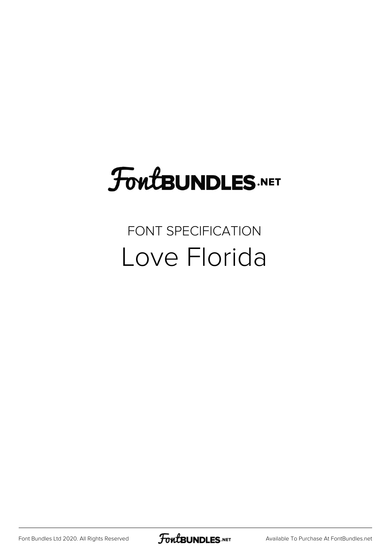# FoutBUNDLES.NET

## FONT SPECIFICATION Love Florida

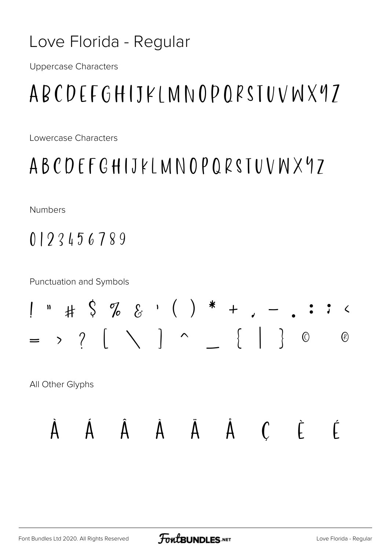#### Love Florida - Regular

**Uppercase Characters** 

# ABCDEFGHIJKI MNOPORSTUVWX97

Lowercase Characters

## ABCDEFGHIJKLMNOPQRSTUVWX97

**Numbers** 

0123456789

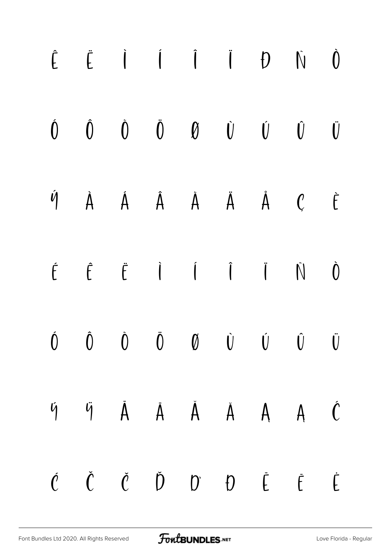